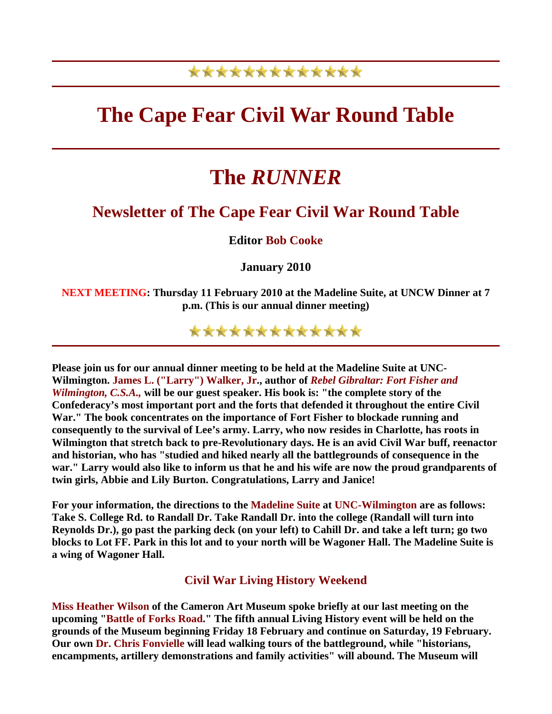## \*\*\*\*\*\*\*\*\*\*\*\*\*

# **The Cape Fear Civil War Round Table**

# **The** *RUNNER*

## **Newsletter of The Cape Fear Civil War Round Table**

**Editor Bob Cooke**

**January 2010** 

**NEXT MEETING: Thursday 11 February 2010 at the Madeline Suite, at UNCW Dinner at 7 p.m. (This is our annual dinner meeting)**

\*\*\*\*\*\*\*\*\*\*\*\*\*

**Please join us for our annual dinner meeting to be held at the Madeline Suite at UNC-Wilmington. James L. ("Larry") Walker, Jr., author of** *Rebel Gibraltar: Fort Fisher and Wilmington, C.S.A.,* **will be our guest speaker. His book is: "the complete story of the Confederacy's most important port and the forts that defended it throughout the entire Civil War." The book concentrates on the importance of Fort Fisher to blockade running and consequently to the survival of Lee's army. Larry, who now resides in Charlotte, has roots in Wilmington that stretch back to pre-Revolutionary days. He is an avid Civil War buff, reenactor and historian, who has "studied and hiked nearly all the battlegrounds of consequence in the war." Larry would also like to inform us that he and his wife are now the proud grandparents of twin girls, Abbie and Lily Burton. Congratulations, Larry and Janice!**

**For your information, the directions to the Madeline Suite at UNC-Wilmington are as follows: Take S. College Rd. to Randall Dr. Take Randall Dr. into the college (Randall will turn into Reynolds Dr.), go past the parking deck (on your left) to Cahill Dr. and take a left turn; go two blocks to Lot FF. Park in this lot and to your north will be Wagoner Hall. The Madeline Suite is a wing of Wagoner Hall.** 

**Civil War Living History Weekend** 

**Miss Heather Wilson of the Cameron Art Museum spoke briefly at our last meeting on the upcoming "Battle of Forks Road." The fifth annual Living History event will be held on the grounds of the Museum beginning Friday 18 February and continue on Saturday, 19 February. Our own Dr. Chris Fonvielle will lead walking tours of the battleground, while "historians, encampments, artillery demonstrations and family activities" will abound. The Museum will**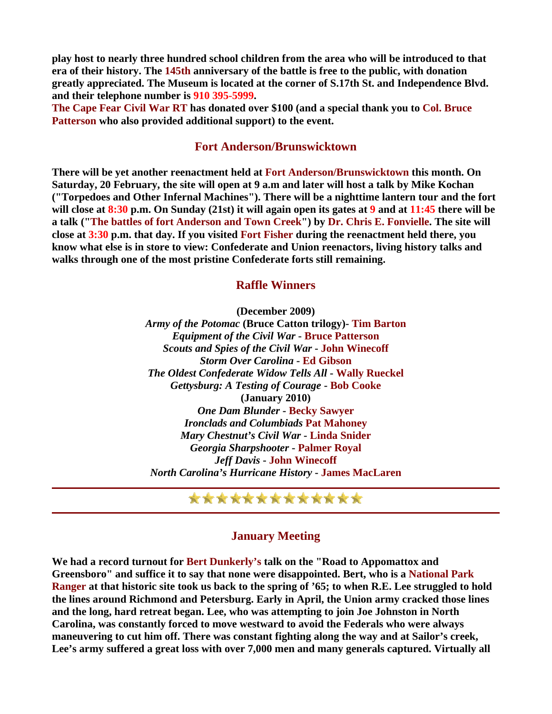**play host to nearly three hundred school children from the area who will be introduced to that era of their history. The 145th anniversary of the battle is free to the public, with donation greatly appreciated. The Museum is located at the corner of S.17th St. and Independence Blvd. and their telephone number is 910 395-5999.** 

**The Cape Fear Civil War RT has donated over \$100 (and a special thank you to Col. Bruce Patterson who also provided additional support) to the event.**

#### **Fort Anderson/Brunswicktown**

**There will be yet another reenactment held at Fort Anderson/Brunswicktown this month. On Saturday, 20 February, the site will open at 9 a.m and later will host a talk by Mike Kochan ("Torpedoes and Other Infernal Machines"). There will be a nighttime lantern tour and the fort will close at 8:30 p.m. On Sunday (21st) it will again open its gates at 9 and at 11:45 there will be a talk ("The battles of fort Anderson and Town Creek") by Dr. Chris E. Fonvielle. The site will close at 3:30 p.m. that day. If you visited Fort Fisher during the reenactment held there, you know what else is in store to view: Confederate and Union reenactors, living history talks and walks through one of the most pristine Confederate forts still remaining.**

#### **Raffle Winners**

**(December 2009)**

*Army of the Potomac* **(Bruce Catton trilogy)- Tim Barton**  *Equipment of the Civil War* **- Bruce Patterson** *Scouts and Spies of the Civil War* **- John Winecoff** *Storm Over Carolina* **- Ed Gibson** *The Oldest Confederate Widow Tells All* **- Wally Rueckel** *Gettysburg: A Testing of Courage* **- Bob Cooke (January 2010)**  *One Dam Blunder* **- Becky Sawyer** *Ironclads and Columbiads* **Pat Mahoney** *Mary Chestnut's Civil War* **- Linda Snider** *Georgia Sharpshooter* **- Palmer Royal** *Jeff Davis* **- John Winecoff** *North Carolina's Hurricane History* **- James MacLaren**

### \*\*\*\*\*\*\*\*\*\*\*\*\*

#### **January Meeting**

**We had a record turnout for Bert Dunkerly's talk on the "Road to Appomattox and Greensboro" and suffice it to say that none were disappointed. Bert, who is a National Park Ranger at that historic site took us back to the spring of '65; to when R.E. Lee struggled to hold the lines around Richmond and Petersburg. Early in April, the Union army cracked those lines and the long, hard retreat began. Lee, who was attempting to join Joe Johnston in North Carolina, was constantly forced to move westward to avoid the Federals who were always maneuvering to cut him off. There was constant fighting along the way and at Sailor's creek, Lee's army suffered a great loss with over 7,000 men and many generals captured. Virtually all**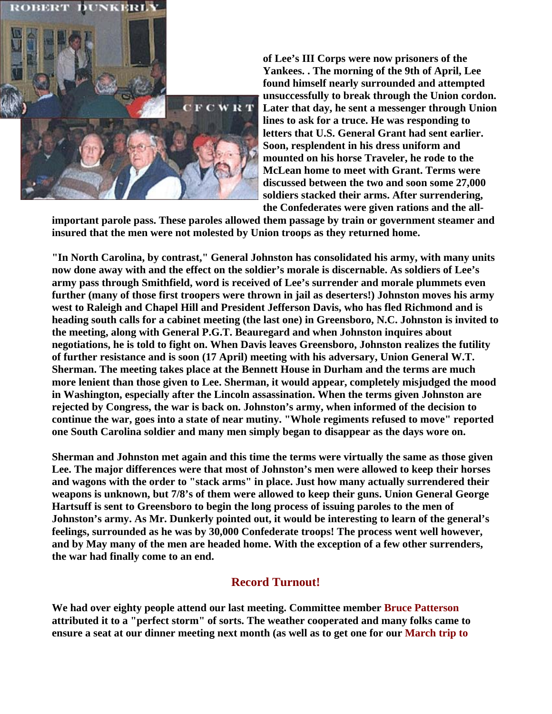

**of Lee's III Corps were now prisoners of the Yankees. . The morning of the 9th of April, Lee found himself nearly surrounded and attempted unsuccessfully to break through the Union cordon. Later that day, he sent a messenger through Union lines to ask for a truce. He was responding to letters that U.S. General Grant had sent earlier. Soon, resplendent in his dress uniform and mounted on his horse Traveler, he rode to the McLean home to meet with Grant. Terms were discussed between the two and soon some 27,000 soldiers stacked their arms. After surrendering, the Confederates were given rations and the all-**

**important parole pass. These paroles allowed them passage by train or government steamer and insured that the men were not molested by Union troops as they returned home.**

**"In North Carolina, by contrast," General Johnston has consolidated his army, with many units now done away with and the effect on the soldier's morale is discernable. As soldiers of Lee's army pass through Smithfield, word is received of Lee's surrender and morale plummets even further (many of those first troopers were thrown in jail as deserters!) Johnston moves his army west to Raleigh and Chapel Hill and President Jefferson Davis, who has fled Richmond and is heading south calls for a cabinet meeting (the last one) in Greensboro, N.C. Johnston is invited to the meeting, along with General P.G.T. Beauregard and when Johnston inquires about negotiations, he is told to fight on. When Davis leaves Greensboro, Johnston realizes the futility of further resistance and is soon (17 April) meeting with his adversary, Union General W.T. Sherman. The meeting takes place at the Bennett House in Durham and the terms are much more lenient than those given to Lee. Sherman, it would appear, completely misjudged the mood in Washington, especially after the Lincoln assassination. When the terms given Johnston are rejected by Congress, the war is back on. Johnston's army, when informed of the decision to continue the war, goes into a state of near mutiny. "Whole regiments refused to move" reported one South Carolina soldier and many men simply began to disappear as the days wore on.**

**Sherman and Johnston met again and this time the terms were virtually the same as those given Lee. The major differences were that most of Johnston's men were allowed to keep their horses and wagons with the order to "stack arms" in place. Just how many actually surrendered their weapons is unknown, but 7/8's of them were allowed to keep their guns. Union General George Hartsuff is sent to Greensboro to begin the long process of issuing paroles to the men of Johnston's army. As Mr. Dunkerly pointed out, it would be interesting to learn of the general's feelings, surrounded as he was by 30,000 Confederate troops! The process went well however, and by May many of the men are headed home. With the exception of a few other surrenders, the war had finally come to an end.**

### **Record Turnout!**

**We had over eighty people attend our last meeting. Committee member Bruce Patterson attributed it to a "perfect storm" of sorts. The weather cooperated and many folks came to ensure a seat at our dinner meeting next month (as well as to get one for our March trip to**